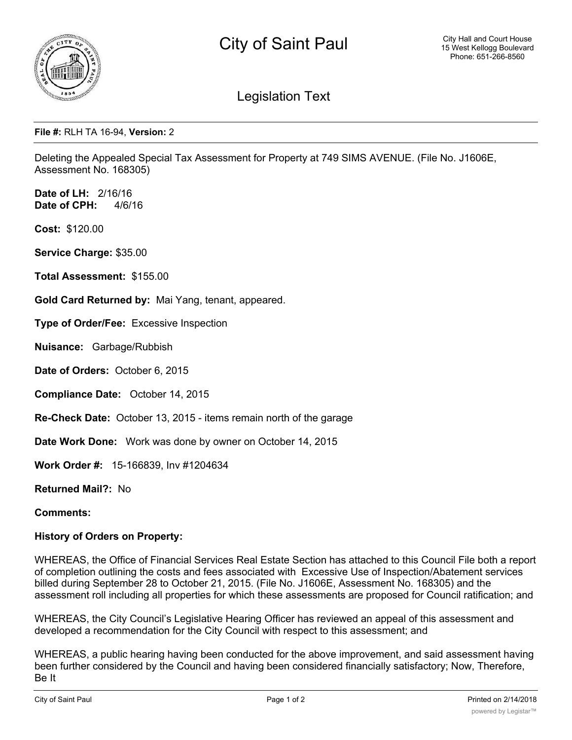

## Legislation Text

## **File #:** RLH TA 16-94, **Version:** 2

Deleting the Appealed Special Tax Assessment for Property at 749 SIMS AVENUE. (File No. J1606E, Assessment No. 168305)

**Date of LH:** 2/16/16 **Date of CPH:** 4/6/16

**Cost:** \$120.00

**Service Charge:** \$35.00

**Total Assessment:** \$155.00

**Gold Card Returned by:** Mai Yang, tenant, appeared.

**Type of Order/Fee:** Excessive Inspection

**Nuisance:** Garbage/Rubbish

**Date of Orders:** October 6, 2015

**Compliance Date:** October 14, 2015

**Re-Check Date:** October 13, 2015 - items remain north of the garage

**Date Work Done:** Work was done by owner on October 14, 2015

**Work Order #:** 15-166839, Inv #1204634

**Returned Mail?:** No

**Comments:**

## **History of Orders on Property:**

WHEREAS, the Office of Financial Services Real Estate Section has attached to this Council File both a report of completion outlining the costs and fees associated with Excessive Use of Inspection/Abatement services billed during September 28 to October 21, 2015. (File No. J1606E, Assessment No. 168305) and the assessment roll including all properties for which these assessments are proposed for Council ratification; and

WHEREAS, the City Council's Legislative Hearing Officer has reviewed an appeal of this assessment and developed a recommendation for the City Council with respect to this assessment; and

WHEREAS, a public hearing having been conducted for the above improvement, and said assessment having been further considered by the Council and having been considered financially satisfactory; Now, Therefore, Be It